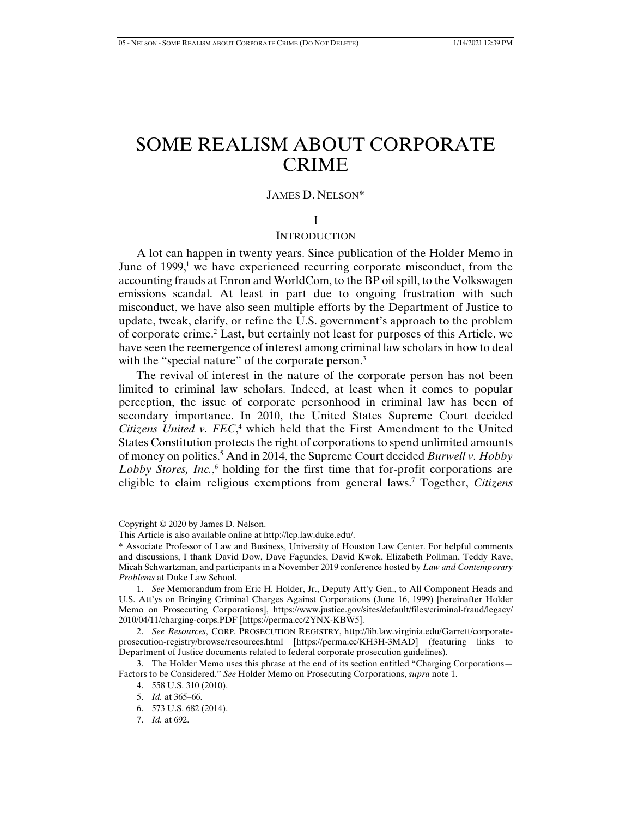# SOME REALISM ABOUT CORPORATE CRIME

#### JAMES D. NELSON\*

# I

## **INTRODUCTION**

A lot can happen in twenty years. Since publication of the Holder Memo in June of  $1999$ ,<sup>1</sup> we have experienced recurring corporate misconduct, from the accounting frauds at Enron and WorldCom, to the BP oil spill, to the Volkswagen emissions scandal. At least in part due to ongoing frustration with such misconduct, we have also seen multiple efforts by the Department of Justice to update, tweak, clarify, or refine the U.S. government's approach to the problem of corporate crime.<sup>2</sup> Last, but certainly not least for purposes of this Article, we have seen the reemergence of interest among criminal law scholars in how to deal with the "special nature" of the corporate person.<sup>3</sup>

The revival of interest in the nature of the corporate person has not been limited to criminal law scholars. Indeed, at least when it comes to popular perception, the issue of corporate personhood in criminal law has been of secondary importance. In 2010, the United States Supreme Court decided Citizens United v. FEC,<sup>4</sup> which held that the First Amendment to the United States Constitution protects the right of corporations to spend unlimited amounts of money on politics.5 And in 2014, the Supreme Court decided *Burwell v. Hobby*  Lobby Stores, *Inc.*,<sup>6</sup> holding for the first time that for-profit corporations are eligible to claim religious exemptions from general laws.7 Together, *Citizens* 

Copyright © 2020 by James D. Nelson.

This Article is also available online at http://lcp.law.duke.edu/.

<sup>\*</sup> Associate Professor of Law and Business, University of Houston Law Center. For helpful comments and discussions, I thank David Dow, Dave Fagundes, David Kwok, Elizabeth Pollman, Teddy Rave, Micah Schwartzman, and participants in a November 2019 conference hosted by *Law and Contemporary Problems* at Duke Law School.

 <sup>1.</sup> *See* Memorandum from Eric H. Holder, Jr., Deputy Att'y Gen., to All Component Heads and U.S. Att'ys on Bringing Criminal Charges Against Corporations (June 16, 1999) [hereinafter Holder Memo on Prosecuting Corporations], https://www.justice.gov/sites/default/files/criminal-fraud/legacy/ 2010/04/11/charging-corps.PDF [https://perma.cc/2YNX-KBW5].

 <sup>2.</sup> *See Resources*, CORP. PROSECUTION REGISTRY, http://lib.law.virginia.edu/Garrett/corporateprosecution-registry/browse/resources.html [https://perma.cc/KH3H-3MAD] (featuring links to Department of Justice documents related to federal corporate prosecution guidelines).

 <sup>3.</sup> The Holder Memo uses this phrase at the end of its section entitled "Charging Corporations— Factors to be Considered." *See* Holder Memo on Prosecuting Corporations, *supra* note 1.

 <sup>4. 558</sup> U.S. 310 (2010).

 <sup>5.</sup> *Id.* at 365–66.

 <sup>6. 573</sup> U.S. 682 (2014).

 <sup>7.</sup> *Id.* at 692.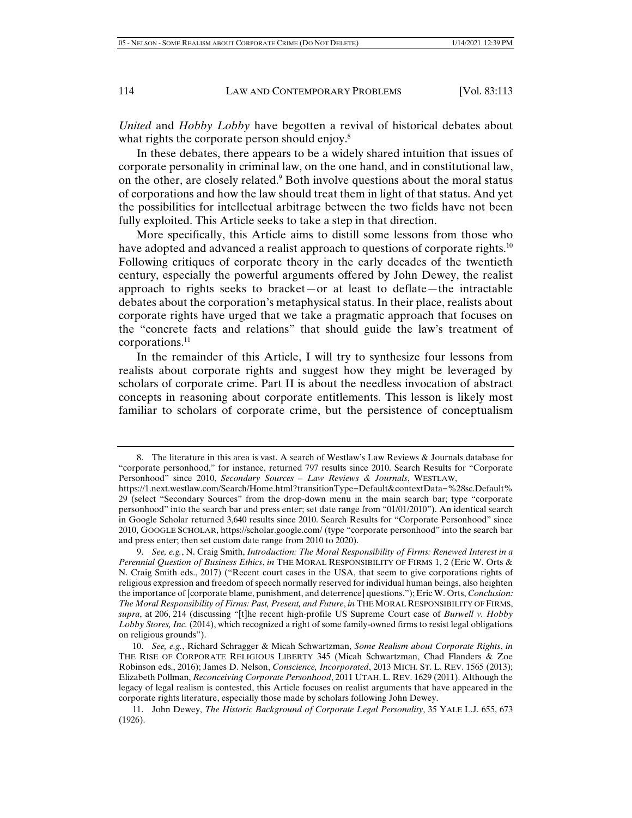*United* and *Hobby Lobby* have begotten a revival of historical debates about what rights the corporate person should enjoy.<sup>8</sup>

In these debates, there appears to be a widely shared intuition that issues of corporate personality in criminal law, on the one hand, and in constitutional law, on the other, are closely related.<sup>9</sup> Both involve questions about the moral status of corporations and how the law should treat them in light of that status. And yet the possibilities for intellectual arbitrage between the two fields have not been fully exploited. This Article seeks to take a step in that direction.

More specifically, this Article aims to distill some lessons from those who have adopted and advanced a realist approach to questions of corporate rights.<sup>10</sup> Following critiques of corporate theory in the early decades of the twentieth century, especially the powerful arguments offered by John Dewey, the realist approach to rights seeks to bracket—or at least to deflate—the intractable debates about the corporation's metaphysical status. In their place, realists about corporate rights have urged that we take a pragmatic approach that focuses on the "concrete facts and relations" that should guide the law's treatment of corporations. $^{11}$ 

In the remainder of this Article, I will try to synthesize four lessons from realists about corporate rights and suggest how they might be leveraged by scholars of corporate crime. Part II is about the needless invocation of abstract concepts in reasoning about corporate entitlements. This lesson is likely most familiar to scholars of corporate crime, but the persistence of conceptualism

 <sup>8.</sup> The literature in this area is vast. A search of Westlaw's Law Reviews & Journals database for "corporate personhood," for instance, returned 797 results since 2010. Search Results for "Corporate Personhood" since 2010, *Secondary Sources – Law Reviews & Journals*, WESTLAW,

https://1.next.westlaw.com/Search/Home.html?transitionType=Default&contextData=%28sc.Default% 29 (select "Secondary Sources" from the drop-down menu in the main search bar; type "corporate personhood" into the search bar and press enter; set date range from "01/01/2010"). An identical search in Google Scholar returned 3,640 results since 2010. Search Results for "Corporate Personhood" since 2010, GOOGLE SCHOLAR, https://scholar.google.com/ (type "corporate personhood" into the search bar and press enter; then set custom date range from 2010 to 2020).

 <sup>9.</sup> *See, e.g.*, N. Craig Smith, *Introduction: The Moral Responsibility of Firms: Renewed Interest in a Perennial Question of Business Ethics*, *in* THE MORAL RESPONSIBILITY OF FIRMS 1, 2 (Eric W. Orts & N. Craig Smith eds., 2017) ("Recent court cases in the USA, that seem to give corporations rights of religious expression and freedom of speech normally reserved for individual human beings, also heighten the importance of [corporate blame, punishment, and deterrence] questions."); Eric W. Orts, *Conclusion: The Moral Responsibility of Firms: Past, Present, and Future*, *in* THE MORAL RESPONSIBILITY OF FIRMS, *supra*, at 206, 214 (discussing "[t]he recent high-profile US Supreme Court case of *Burwell v. Hobby Lobby Stores, Inc.* (2014), which recognized a right of some family-owned firms to resist legal obligations on religious grounds").

 <sup>10.</sup> *See, e.g.*, Richard Schragger & Micah Schwartzman, *Some Realism about Corporate Rights*, *in* THE RISE OF CORPORATE RELIGIOUS LIBERTY 345 (Micah Schwartzman, Chad Flanders & Zoe Robinson eds., 2016); James D. Nelson, *Conscience, Incorporated*, 2013 MICH. ST. L. REV. 1565 (2013); Elizabeth Pollman, *Reconceiving Corporate Personhood*, 2011 UTAH. L. REV. 1629 (2011). Although the legacy of legal realism is contested, this Article focuses on realist arguments that have appeared in the corporate rights literature, especially those made by scholars following John Dewey.

 <sup>11.</sup> John Dewey, *The Historic Background of Corporate Legal Personality*, 35 YALE L.J. 655, 673 (1926).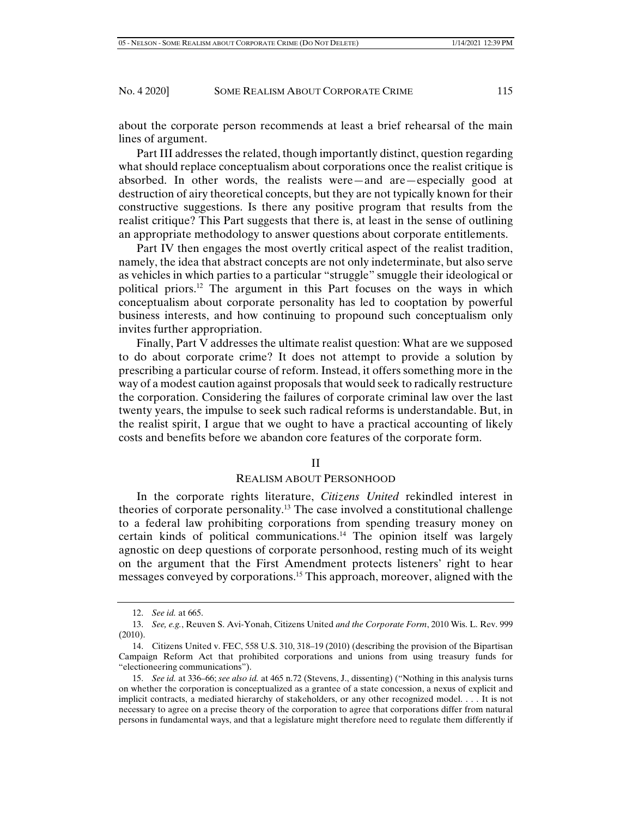about the corporate person recommends at least a brief rehearsal of the main lines of argument.

Part III addresses the related, though importantly distinct, question regarding what should replace conceptualism about corporations once the realist critique is absorbed. In other words, the realists were—and are—especially good at destruction of airy theoretical concepts, but they are not typically known for their constructive suggestions. Is there any positive program that results from the realist critique? This Part suggests that there is, at least in the sense of outlining an appropriate methodology to answer questions about corporate entitlements.

Part IV then engages the most overtly critical aspect of the realist tradition, namely, the idea that abstract concepts are not only indeterminate, but also serve as vehicles in which parties to a particular "struggle" smuggle their ideological or political priors.12 The argument in this Part focuses on the ways in which conceptualism about corporate personality has led to cooptation by powerful business interests, and how continuing to propound such conceptualism only invites further appropriation.

Finally, Part V addresses the ultimate realist question: What are we supposed to do about corporate crime? It does not attempt to provide a solution by prescribing a particular course of reform. Instead, it offers something more in the way of a modest caution against proposals that would seek to radically restructure the corporation. Considering the failures of corporate criminal law over the last twenty years, the impulse to seek such radical reforms is understandable. But, in the realist spirit, I argue that we ought to have a practical accounting of likely costs and benefits before we abandon core features of the corporate form.

## II

## REALISM ABOUT PERSONHOOD

In the corporate rights literature, *Citizens United* rekindled interest in theories of corporate personality.13 The case involved a constitutional challenge to a federal law prohibiting corporations from spending treasury money on certain kinds of political communications.<sup>14</sup> The opinion itself was largely agnostic on deep questions of corporate personhood, resting much of its weight on the argument that the First Amendment protects listeners' right to hear messages conveyed by corporations.15 This approach, moreover, aligned with the

 <sup>12.</sup> *See id.* at 665.

 <sup>13.</sup> *See, e.g.*, Reuven S. Avi-Yonah, Citizens United *and the Corporate Form*, 2010 Wis. L. Rev. 999 (2010).

 <sup>14.</sup> Citizens United v. FEC, 558 U.S. 310, 318–19 (2010) (describing the provision of the Bipartisan Campaign Reform Act that prohibited corporations and unions from using treasury funds for "electioneering communications").

 <sup>15.</sup> *See id.* at 336–66; *see also id.* at 465 n.72 (Stevens, J., dissenting) ("Nothing in this analysis turns on whether the corporation is conceptualized as a grantee of a state concession, a nexus of explicit and implicit contracts, a mediated hierarchy of stakeholders, or any other recognized model. . . . It is not necessary to agree on a precise theory of the corporation to agree that corporations differ from natural persons in fundamental ways, and that a legislature might therefore need to regulate them differently if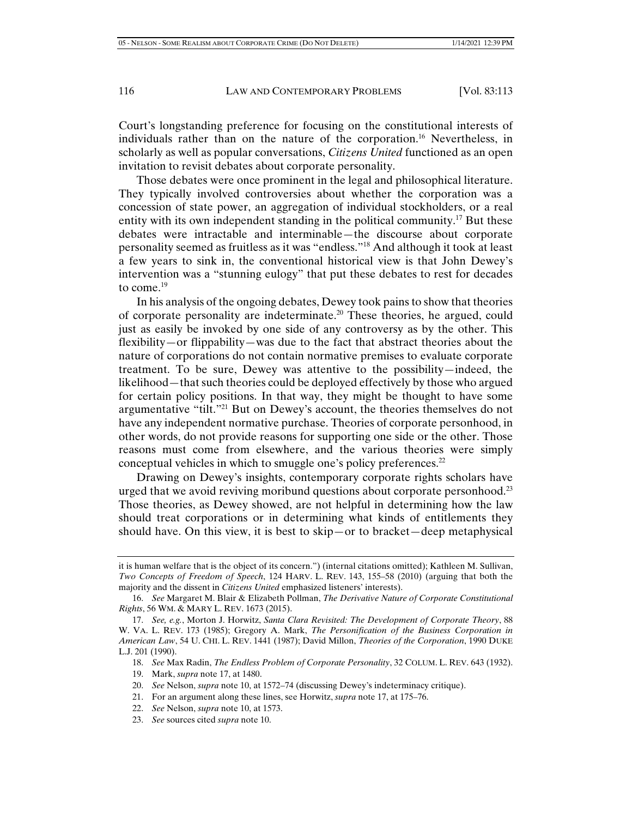Court's longstanding preference for focusing on the constitutional interests of individuals rather than on the nature of the corporation.16 Nevertheless, in scholarly as well as popular conversations, *Citizens United* functioned as an open invitation to revisit debates about corporate personality.

Those debates were once prominent in the legal and philosophical literature. They typically involved controversies about whether the corporation was a concession of state power, an aggregation of individual stockholders, or a real entity with its own independent standing in the political community.<sup>17</sup> But these debates were intractable and interminable—the discourse about corporate personality seemed as fruitless as it was "endless."18 And although it took at least a few years to sink in, the conventional historical view is that John Dewey's intervention was a "stunning eulogy" that put these debates to rest for decades to come.<sup>19</sup>

In his analysis of the ongoing debates, Dewey took pains to show that theories of corporate personality are indeterminate.20 These theories, he argued, could just as easily be invoked by one side of any controversy as by the other. This flexibility—or flippability—was due to the fact that abstract theories about the nature of corporations do not contain normative premises to evaluate corporate treatment. To be sure, Dewey was attentive to the possibility—indeed, the likelihood—that such theories could be deployed effectively by those who argued for certain policy positions. In that way, they might be thought to have some argumentative "tilt."<sup>21</sup> But on Dewey's account, the theories themselves do not have any independent normative purchase. Theories of corporate personhood, in other words, do not provide reasons for supporting one side or the other. Those reasons must come from elsewhere, and the various theories were simply conceptual vehicles in which to smuggle one's policy preferences.<sup>22</sup>

Drawing on Dewey's insights, contemporary corporate rights scholars have urged that we avoid reviving moribund questions about corporate personhood.<sup>23</sup> Those theories, as Dewey showed, are not helpful in determining how the law should treat corporations or in determining what kinds of entitlements they should have. On this view, it is best to skip—or to bracket—deep metaphysical

- 19. Mark, *supra* note 17, at 1480.
- 20. *See* Nelson, *supra* note 10, at 1572–74 (discussing Dewey's indeterminacy critique).
- 21. For an argument along these lines, see Horwitz, *supra* note 17, at 175–76.
- 22. *See* Nelson, *supra* note 10, at 1573.
- 23. *See* sources cited *supra* note 10.

it is human welfare that is the object of its concern.") (internal citations omitted); Kathleen M. Sullivan, *Two Concepts of Freedom of Speech*, 124 HARV. L. REV. 143, 155–58 (2010) (arguing that both the majority and the dissent in *Citizens United* emphasized listeners' interests).

 <sup>16.</sup> *See* Margaret M. Blair & Elizabeth Pollman, *The Derivative Nature of Corporate Constitutional Rights*, 56 WM. & MARY L. REV. 1673 (2015).

 <sup>17.</sup> *See, e.g.*, Morton J. Horwitz, *Santa Clara Revisited: The Development of Corporate Theory*, 88 W. VA. L. REV. 173 (1985); Gregory A. Mark, *The Personification of the Business Corporation in American Law*, 54 U. CHI. L. REV. 1441 (1987); David Millon, *Theories of the Corporation*, 1990 DUKE L.J. 201 (1990).

 <sup>18.</sup> *See* Max Radin, *The Endless Problem of Corporate Personality*, 32 COLUM. L. REV. 643 (1932).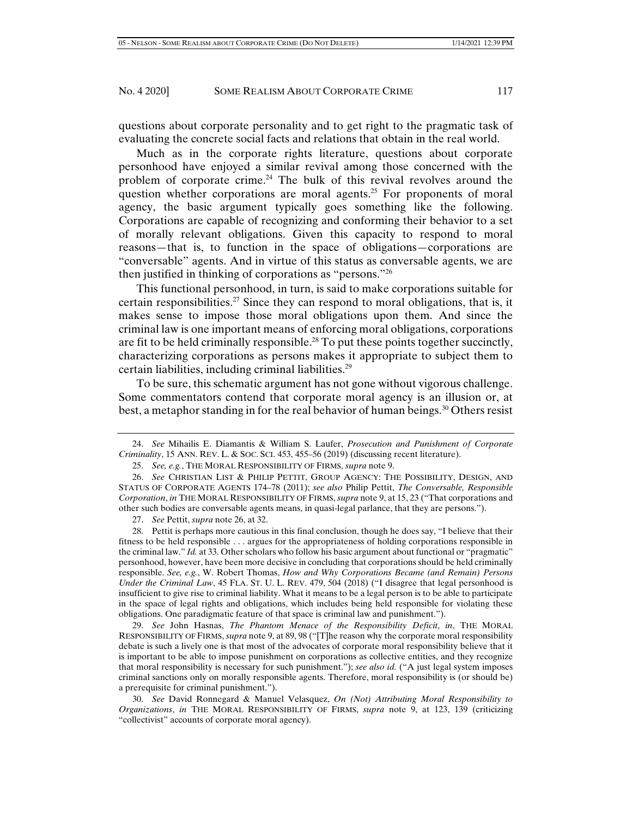questions about corporate personality and to get right to the pragmatic task of evaluating the concrete social facts and relations that obtain in the real world.

Much as in the corporate rights literature, questions about corporate personhood have enjoyed a similar revival among those concerned with the problem of corporate crime.<sup>24</sup> The bulk of this revival revolves around the question whether corporations are moral agents.<sup>25</sup> For proponents of moral agency, the basic argument typically goes something like the following. Corporations are capable of recognizing and conforming their behavior to a set of morally relevant obligations. Given this capacity to respond to moral reasons—that is, to function in the space of obligations—corporations are "conversable" agents. And in virtue of this status as conversable agents, we are then justified in thinking of corporations as "persons."26

This functional personhood, in turn, is said to make corporations suitable for certain responsibilities.<sup>27</sup> Since they can respond to moral obligations, that is, it makes sense to impose those moral obligations upon them. And since the criminal law is one important means of enforcing moral obligations, corporations are fit to be held criminally responsible.<sup>28</sup> To put these points together succinctly, characterizing corporations as persons makes it appropriate to subject them to certain liabilities, including criminal liabilities.29

To be sure, this schematic argument has not gone without vigorous challenge. Some commentators contend that corporate moral agency is an illusion or, at best, a metaphor standing in for the real behavior of human beings.<sup>30</sup> Others resist

27. *See* Pettit, *supra* note 26, at 32.

 28. Pettit is perhaps more cautious in this final conclusion, though he does say, "I believe that their fitness to be held responsible . . . argues for the appropriateness of holding corporations responsible in the criminal law." *Id.* at 33. Other scholars who follow his basic argument about functional or "pragmatic" personhood, however, have been more decisive in concluding that corporations should be held criminally responsible. *See, e.g.*, W. Robert Thomas, *How and Why Corporations Became (and Remain) Persons Under the Criminal Law*, 45 FLA. ST. U. L. REV. 479, 504 (2018) ("I disagree that legal personhood is insufficient to give rise to criminal liability. What it means to be a legal person is to be able to participate in the space of legal rights and obligations, which includes being held responsible for violating these obligations. One paradigmatic feature of that space is criminal law and punishment.").

 29. *See* John Hasnas, *The Phantom Menace of the Responsibility Deficit*, *in*, THE MORAL RESPONSIBILITY OF FIRMS, *supra* note 9, at 89, 98 ("[T]he reason why the corporate moral responsibility debate is such a lively one is that most of the advocates of corporate moral responsibility believe that it is important to be able to impose punishment on corporations as collective entities, and they recognize that moral responsibility is necessary for such punishment."); *see also id.* ("A just legal system imposes criminal sanctions only on morally responsible agents. Therefore, moral responsibility is (or should be) a prerequisite for criminal punishment.").

 30. *See* David Ronnegard & Manuel Velasquez, *On (Not) Attributing Moral Responsibility to Organizations*, *in* THE MORAL RESPONSIBILITY OF FIRMS, *supra* note 9, at 123, 139 (criticizing "collectivist" accounts of corporate moral agency).

 <sup>24.</sup> *See* Mihailis E. Diamantis & William S. Laufer, *Prosecution and Punishment of Corporate Criminality*, 15 ANN. REV. L. & SOC. SCI. 453, 455–56 (2019) (discussing recent literature).

 <sup>25.</sup> *See, e.g.*, THE MORAL RESPONSIBILITY OF FIRMS, *supra* note 9.

 <sup>26.</sup> *See* CHRISTIAN LIST & PHILIP PETTIT, GROUP AGENCY: THE POSSIBILITY, DESIGN, AND STATUS OF CORPORATE AGENTS 174–78 (2011); *see also* Philip Pettit, *The Conversable, Responsible Corporation*, *in* THE MORAL RESPONSIBILITY OF FIRMS, *supra* note 9, at 15, 23 ("That corporations and other such bodies are conversable agents means, in quasi-legal parlance, that they are persons.").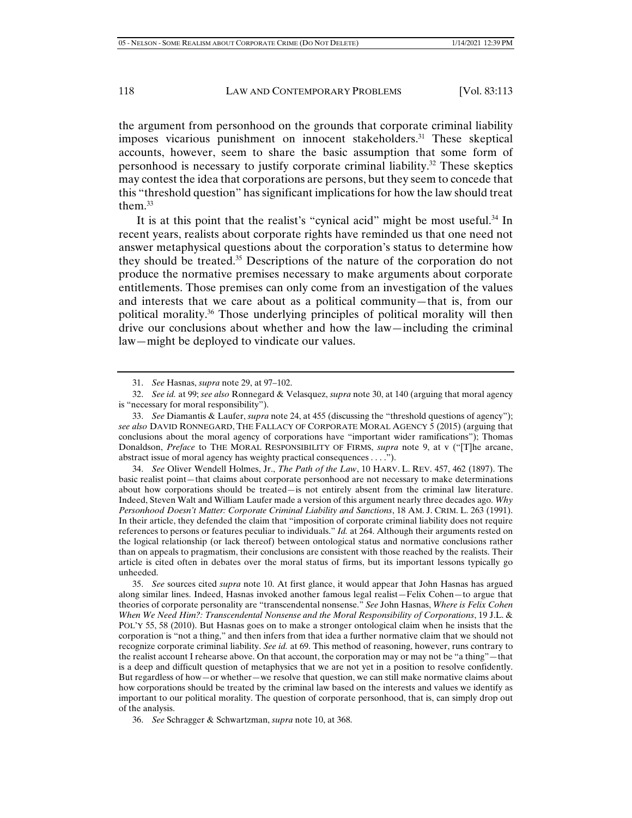the argument from personhood on the grounds that corporate criminal liability imposes vicarious punishment on innocent stakeholders.<sup>31</sup> These skeptical accounts, however, seem to share the basic assumption that some form of personhood is necessary to justify corporate criminal liability.<sup>32</sup> These skeptics may contest the idea that corporations are persons, but they seem to concede that this "threshold question" has significant implications for how the law should treat them. $33$ 

It is at this point that the realist's "cynical acid" might be most useful.<sup>34</sup> In recent years, realists about corporate rights have reminded us that one need not answer metaphysical questions about the corporation's status to determine how they should be treated.35 Descriptions of the nature of the corporation do not produce the normative premises necessary to make arguments about corporate entitlements. Those premises can only come from an investigation of the values and interests that we care about as a political community—that is, from our political morality.36 Those underlying principles of political morality will then drive our conclusions about whether and how the law—including the criminal law—might be deployed to vindicate our values.

 34. *See* Oliver Wendell Holmes, Jr., *The Path of the Law*, 10 HARV. L. REV. 457, 462 (1897). The basic realist point—that claims about corporate personhood are not necessary to make determinations about how corporations should be treated—is not entirely absent from the criminal law literature. Indeed, Steven Walt and William Laufer made a version of this argument nearly three decades ago. *Why Personhood Doesn't Matter: Corporate Criminal Liability and Sanctions*, 18 AM. J. CRIM. L. 263 (1991). In their article, they defended the claim that "imposition of corporate criminal liability does not require references to persons or features peculiar to individuals." *Id.* at 264. Although their arguments rested on the logical relationship (or lack thereof) between ontological status and normative conclusions rather than on appeals to pragmatism, their conclusions are consistent with those reached by the realists. Their article is cited often in debates over the moral status of firms, but its important lessons typically go unheeded.

 35. *See* sources cited *supra* note 10. At first glance, it would appear that John Hasnas has argued along similar lines. Indeed, Hasnas invoked another famous legal realist—Felix Cohen—to argue that theories of corporate personality are "transcendental nonsense." *See* John Hasnas, *Where is Felix Cohen When We Need Him?: Transcendental Nonsense and the Moral Responsibility of Corporations*, 19 J.L. & POL'Y 55, 58 (2010). But Hasnas goes on to make a stronger ontological claim when he insists that the corporation is "not a thing," and then infers from that idea a further normative claim that we should not recognize corporate criminal liability. *See id.* at 69. This method of reasoning, however, runs contrary to the realist account I rehearse above. On that account, the corporation may or may not be "a thing"—that is a deep and difficult question of metaphysics that we are not yet in a position to resolve confidently. But regardless of how—or whether—we resolve that question, we can still make normative claims about how corporations should be treated by the criminal law based on the interests and values we identify as important to our political morality. The question of corporate personhood, that is, can simply drop out of the analysis.

36. *See* Schragger & Schwartzman, *supra* note 10, at 368.

 <sup>31.</sup> *See* Hasnas, *supra* note 29, at 97–102.

 <sup>32.</sup> *See id.* at 99; *see also* Ronnegard & Velasquez, *supra* note 30, at 140 (arguing that moral agency is "necessary for moral responsibility").

 <sup>33.</sup> *See* Diamantis & Laufer, *supra* note 24, at 455 (discussing the "threshold questions of agency"); *see also* DAVID RONNEGARD, THE FALLACY OF CORPORATE MORAL AGENCY 5 (2015) (arguing that conclusions about the moral agency of corporations have "important wider ramifications"); Thomas Donaldson, *Preface* to THE MORAL RESPONSIBILITY OF FIRMS, *supra* note 9, at v ("[T]he arcane, abstract issue of moral agency has weighty practical consequences . . . .").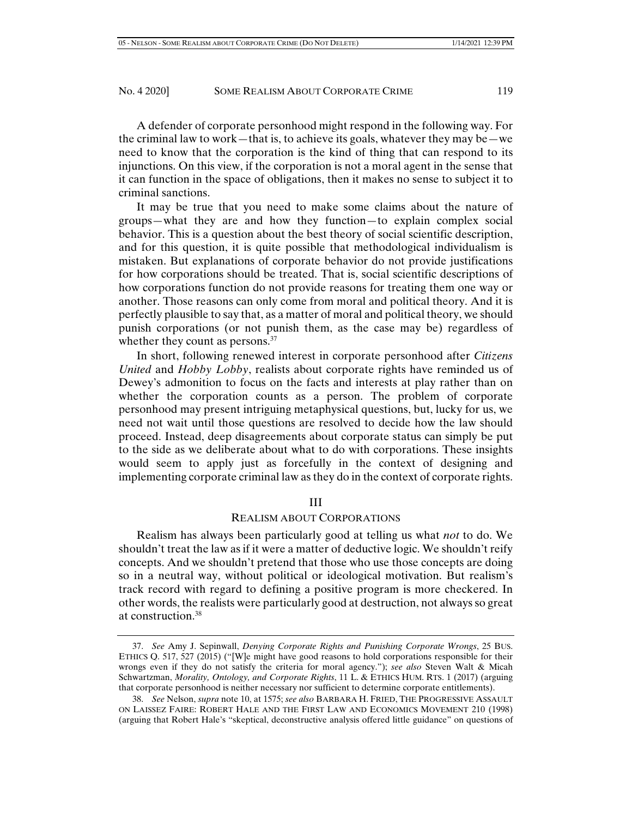A defender of corporate personhood might respond in the following way. For the criminal law to work—that is, to achieve its goals, whatever they may be—we need to know that the corporation is the kind of thing that can respond to its injunctions. On this view, if the corporation is not a moral agent in the sense that it can function in the space of obligations, then it makes no sense to subject it to criminal sanctions.

It may be true that you need to make some claims about the nature of groups—what they are and how they function—to explain complex social behavior. This is a question about the best theory of social scientific description, and for this question, it is quite possible that methodological individualism is mistaken. But explanations of corporate behavior do not provide justifications for how corporations should be treated. That is, social scientific descriptions of how corporations function do not provide reasons for treating them one way or another. Those reasons can only come from moral and political theory. And it is perfectly plausible to say that, as a matter of moral and political theory, we should punish corporations (or not punish them, as the case may be) regardless of whether they count as persons.<sup>37</sup>

In short, following renewed interest in corporate personhood after *Citizens United* and *Hobby Lobby*, realists about corporate rights have reminded us of Dewey's admonition to focus on the facts and interests at play rather than on whether the corporation counts as a person. The problem of corporate personhood may present intriguing metaphysical questions, but, lucky for us, we need not wait until those questions are resolved to decide how the law should proceed. Instead, deep disagreements about corporate status can simply be put to the side as we deliberate about what to do with corporations. These insights would seem to apply just as forcefully in the context of designing and implementing corporate criminal law as they do in the context of corporate rights.

III

## REALISM ABOUT CORPORATIONS

Realism has always been particularly good at telling us what *not* to do. We shouldn't treat the law as if it were a matter of deductive logic. We shouldn't reify concepts. And we shouldn't pretend that those who use those concepts are doing so in a neutral way, without political or ideological motivation. But realism's track record with regard to defining a positive program is more checkered. In other words, the realists were particularly good at destruction, not always so great at construction.38

 <sup>37.</sup> *See* Amy J. Sepinwall, *Denying Corporate Rights and Punishing Corporate Wrongs*, 25 BUS. ETHICS Q. 517, 527 (2015) ("[W]e might have good reasons to hold corporations responsible for their wrongs even if they do not satisfy the criteria for moral agency."); *see also* Steven Walt & Micah Schwartzman, *Morality, Ontology, and Corporate Rights*, 11 L. & ETHICS HUM. RTS. 1 (2017) (arguing that corporate personhood is neither necessary nor sufficient to determine corporate entitlements).

 <sup>38.</sup> *See* Nelson, *supra* note 10, at 1575; *see also* BARBARA H. FRIED, THE PROGRESSIVE ASSAULT ON LAISSEZ FAIRE: ROBERT HALE AND THE FIRST LAW AND ECONOMICS MOVEMENT 210 (1998) (arguing that Robert Hale's "skeptical, deconstructive analysis offered little guidance" on questions of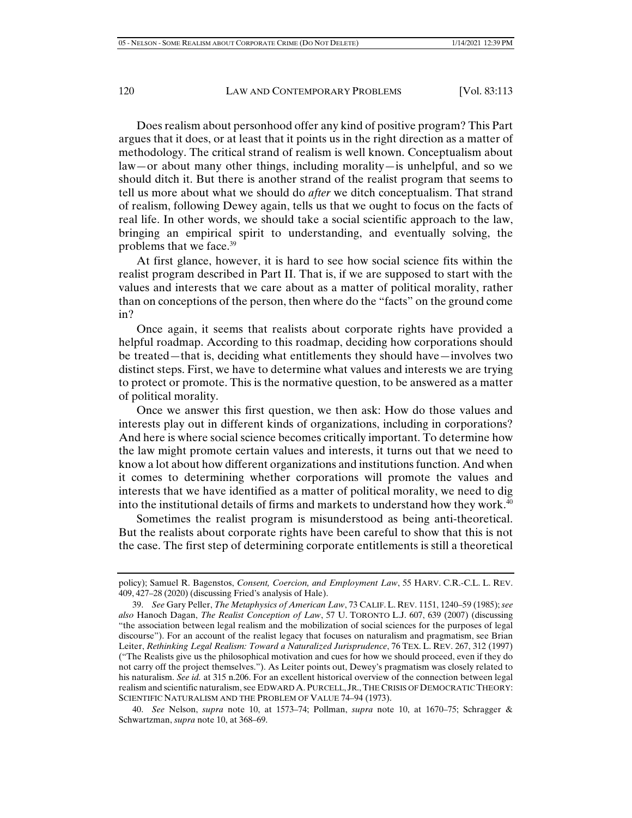Does realism about personhood offer any kind of positive program? This Part argues that it does, or at least that it points us in the right direction as a matter of methodology. The critical strand of realism is well known. Conceptualism about law—or about many other things, including morality—is unhelpful, and so we should ditch it. But there is another strand of the realist program that seems to tell us more about what we should do *after* we ditch conceptualism. That strand of realism, following Dewey again, tells us that we ought to focus on the facts of real life. In other words, we should take a social scientific approach to the law, bringing an empirical spirit to understanding, and eventually solving, the problems that we face.<sup>39</sup>

At first glance, however, it is hard to see how social science fits within the realist program described in Part II. That is, if we are supposed to start with the values and interests that we care about as a matter of political morality, rather than on conceptions of the person, then where do the "facts" on the ground come in?

Once again, it seems that realists about corporate rights have provided a helpful roadmap. According to this roadmap, deciding how corporations should be treated—that is, deciding what entitlements they should have—involves two distinct steps. First, we have to determine what values and interests we are trying to protect or promote. This is the normative question, to be answered as a matter of political morality.

Once we answer this first question, we then ask: How do those values and interests play out in different kinds of organizations, including in corporations? And here is where social science becomes critically important. To determine how the law might promote certain values and interests, it turns out that we need to know a lot about how different organizations and institutions function. And when it comes to determining whether corporations will promote the values and interests that we have identified as a matter of political morality, we need to dig into the institutional details of firms and markets to understand how they work.<sup>40</sup>

Sometimes the realist program is misunderstood as being anti-theoretical. But the realists about corporate rights have been careful to show that this is not the case. The first step of determining corporate entitlements is still a theoretical

policy); Samuel R. Bagenstos, *Consent, Coercion, and Employment Law*, 55 HARV. C.R.-C.L. L. REV. 409, 427–28 (2020) (discussing Fried's analysis of Hale).

 <sup>39.</sup> *See* Gary Peller, *The Metaphysics of American Law*, 73 CALIF. L. REV. 1151, 1240–59 (1985); *see also* Hanoch Dagan, *The Realist Conception of Law*, 57 U. TORONTO L.J. 607, 639 (2007) (discussing "the association between legal realism and the mobilization of social sciences for the purposes of legal discourse"). For an account of the realist legacy that focuses on naturalism and pragmatism, see Brian Leiter, *Rethinking Legal Realism: Toward a Naturalized Jurisprudence*, 76 TEX. L. REV. 267, 312 (1997) ("The Realists give us the philosophical motivation and cues for how we should proceed, even if they do not carry off the project themselves."). As Leiter points out, Dewey's pragmatism was closely related to his naturalism. *See id.* at 315 n.206. For an excellent historical overview of the connection between legal realism and scientific naturalism, see EDWARD A. PURCELL, JR.,THE CRISIS OF DEMOCRATIC THEORY: SCIENTIFIC NATURALISM AND THE PROBLEM OF VALUE 74–94 (1973).

 <sup>40.</sup> *See* Nelson, *supra* note 10, at 1573–74; Pollman, *supra* note 10, at 1670–75; Schragger & Schwartzman, *supra* note 10, at 368–69.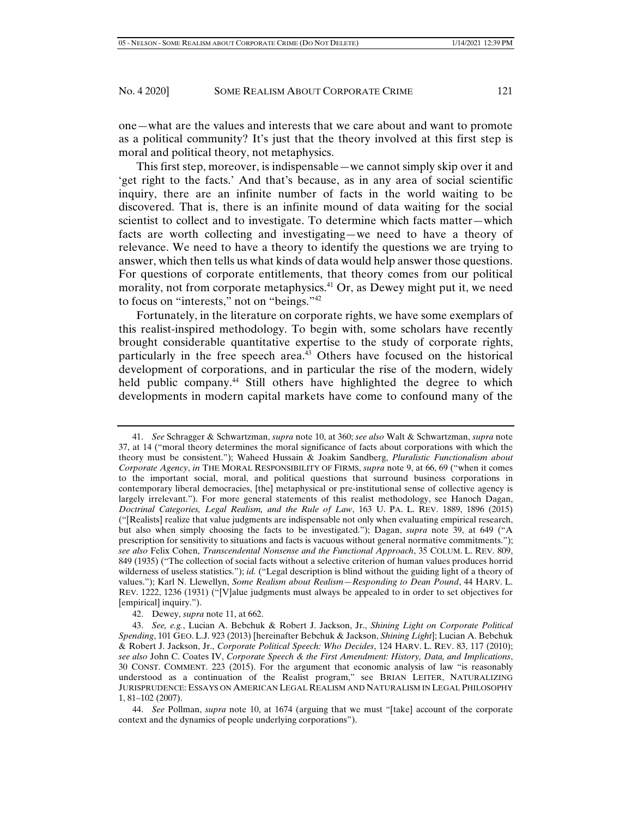one—what are the values and interests that we care about and want to promote as a political community? It's just that the theory involved at this first step is moral and political theory, not metaphysics.

This first step, moreover, is indispensable—we cannot simply skip over it and 'get right to the facts.' And that's because, as in any area of social scientific inquiry, there are an infinite number of facts in the world waiting to be discovered. That is, there is an infinite mound of data waiting for the social scientist to collect and to investigate. To determine which facts matter—which facts are worth collecting and investigating—we need to have a theory of relevance. We need to have a theory to identify the questions we are trying to answer, which then tells us what kinds of data would help answer those questions. For questions of corporate entitlements, that theory comes from our political morality, not from corporate metaphysics.<sup>41</sup> Or, as Dewey might put it, we need to focus on "interests," not on "beings."42

Fortunately, in the literature on corporate rights, we have some exemplars of this realist-inspired methodology. To begin with, some scholars have recently brought considerable quantitative expertise to the study of corporate rights, particularly in the free speech area.43 Others have focused on the historical development of corporations, and in particular the rise of the modern, widely held public company.<sup>44</sup> Still others have highlighted the degree to which developments in modern capital markets have come to confound many of the

42. Dewey, *supra* note 11, at 662.

 <sup>41.</sup> *See* Schragger & Schwartzman, *supra* note 10, at 360; *see also* Walt & Schwartzman, *supra* note 37, at 14 ("moral theory determines the moral significance of facts about corporations with which the theory must be consistent."); Waheed Hussain & Joakim Sandberg, *Pluralistic Functionalism about Corporate Agency*, *in* THE MORAL RESPONSIBILITY OF FIRMS, *supra* note 9, at 66, 69 ("when it comes to the important social, moral, and political questions that surround business corporations in contemporary liberal democracies, [the] metaphysical or pre-institutional sense of collective agency is largely irrelevant."). For more general statements of this realist methodology, see Hanoch Dagan, *Doctrinal Categories, Legal Realism, and the Rule of Law*, 163 U. PA. L. REV. 1889, 1896 (2015) ("[Realists] realize that value judgments are indispensable not only when evaluating empirical research, but also when simply choosing the facts to be investigated."); Dagan, *supra* note 39, at 649 ("A prescription for sensitivity to situations and facts is vacuous without general normative commitments."); *see also* Felix Cohen, *Transcendental Nonsense and the Functional Approach*, 35 COLUM. L. REV. 809, 849 (1935) ("The collection of social facts without a selective criterion of human values produces horrid wilderness of useless statistics."); *id.* ("Legal description is blind without the guiding light of a theory of values."); Karl N. Llewellyn, *Some Realism about Realism—Responding to Dean Pound*, 44 HARV. L. REV. 1222, 1236 (1931) ("[V]alue judgments must always be appealed to in order to set objectives for [empirical] inquiry.").

 <sup>43.</sup> *See, e.g.*, Lucian A. Bebchuk & Robert J. Jackson, Jr., *Shining Light on Corporate Political Spending*, 101 GEO. L.J. 923 (2013) [hereinafter Bebchuk & Jackson, *Shining Light*]; Lucian A. Bebchuk & Robert J. Jackson, Jr., *Corporate Political Speech: Who Decides*, 124 HARV. L. REV. 83, 117 (2010); *see also* John C. Coates IV, *Corporate Speech & the First Amendment: History, Data, and Implications*, 30 CONST. COMMENT. 223 (2015). For the argument that economic analysis of law "is reasonably understood as a continuation of the Realist program," see BRIAN LEITER, NATURALIZING JURISPRUDENCE: ESSAYS ON AMERICAN LEGAL REALISM AND NATURALISM IN LEGAL PHILOSOPHY 1, 81–102 (2007).

 <sup>44.</sup> *See* Pollman, *supra* note 10, at 1674 (arguing that we must "[take] account of the corporate context and the dynamics of people underlying corporations").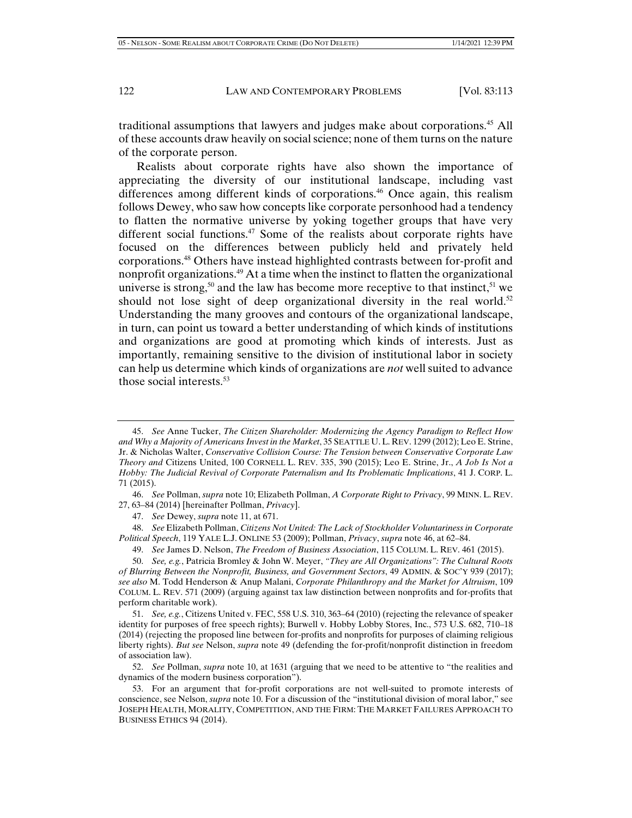traditional assumptions that lawyers and judges make about corporations.45 All of these accounts draw heavily on social science; none of them turns on the nature of the corporate person.

Realists about corporate rights have also shown the importance of appreciating the diversity of our institutional landscape, including vast differences among different kinds of corporations.46 Once again, this realism follows Dewey, who saw how concepts like corporate personhood had a tendency to flatten the normative universe by yoking together groups that have very different social functions.<sup>47</sup> Some of the realists about corporate rights have focused on the differences between publicly held and privately held corporations.48 Others have instead highlighted contrasts between for-profit and nonprofit organizations.49 At a time when the instinct to flatten the organizational universe is strong,<sup>50</sup> and the law has become more receptive to that instinct,<sup>51</sup> we should not lose sight of deep organizational diversity in the real world.<sup>52</sup> Understanding the many grooves and contours of the organizational landscape, in turn, can point us toward a better understanding of which kinds of institutions and organizations are good at promoting which kinds of interests. Just as importantly, remaining sensitive to the division of institutional labor in society can help us determine which kinds of organizations are *not* well suited to advance those social interests.53

49. *See* James D. Nelson, *The Freedom of Business Association*, 115 COLUM. L. REV. 461 (2015).

 <sup>45.</sup> *See* Anne Tucker, *The Citizen Shareholder: Modernizing the Agency Paradigm to Reflect How and Why a Majority of Americans Invest in the Market*, 35 SEATTLE U.L. REV. 1299 (2012); Leo E. Strine, Jr. & Nicholas Walter, *Conservative Collision Course: The Tension between Conservative Corporate Law Theory and* Citizens United, 100 CORNELL L. REV. 335, 390 (2015); Leo E. Strine, Jr., *A Job Is Not a Hobby: The Judicial Revival of Corporate Paternalism and Its Problematic Implications*, 41 J. CORP. L. 71 (2015).

 <sup>46.</sup> *See* Pollman, *supra* note 10; Elizabeth Pollman, *A Corporate Right to Privacy*, 99 MINN. L. REV. 27, 63–84 (2014) [hereinafter Pollman, *Privacy*].

 <sup>47.</sup> *See* Dewey, *supra* note 11, at 671.

 <sup>48.</sup> *See* Elizabeth Pollman, *Citizens Not United: The Lack of Stockholder Voluntariness in Corporate Political Speech*, 119 YALE L.J. ONLINE 53 (2009); Pollman, *Privacy*, *supra* note 46, at 62–84.

 <sup>50.</sup> *See, e.g.*, Patricia Bromley & John W. Meyer, *"They are All Organizations": The Cultural Roots of Blurring Between the Nonprofit, Business, and Government Sectors*, 49 ADMIN. & SOC'Y 939 (2017); *see also* M. Todd Henderson & Anup Malani, *Corporate Philanthropy and the Market for Altruism*, 109 COLUM. L. REV. 571 (2009) (arguing against tax law distinction between nonprofits and for-profits that perform charitable work).

 <sup>51.</sup> *See, e.g.*, Citizens United v. FEC, 558 U.S. 310, 363–64 (2010) (rejecting the relevance of speaker identity for purposes of free speech rights); Burwell v. Hobby Lobby Stores, Inc., 573 U.S. 682, 710–18 (2014) (rejecting the proposed line between for-profits and nonprofits for purposes of claiming religious liberty rights). *But see* Nelson, *supra* note 49 (defending the for-profit/nonprofit distinction in freedom of association law).

 <sup>52.</sup> *See* Pollman, *supra* note 10, at 1631 (arguing that we need to be attentive to "the realities and dynamics of the modern business corporation").

 <sup>53.</sup> For an argument that for-profit corporations are not well-suited to promote interests of conscience, see Nelson, *supra* note 10. For a discussion of the "institutional division of moral labor," see JOSEPH HEALTH, MORALITY, COMPETITION, AND THE FIRM: THE MARKET FAILURES APPROACH TO BUSINESS ETHICS 94 (2014).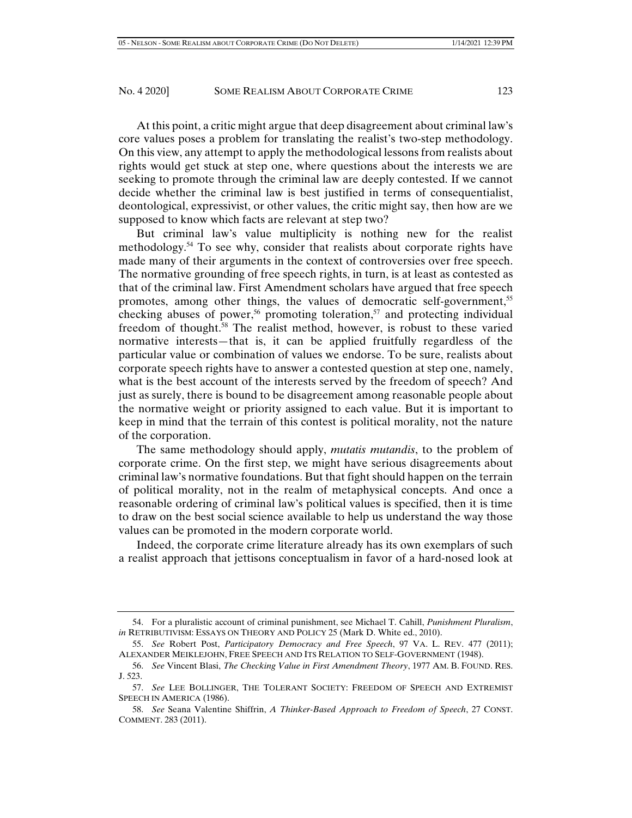At this point, a critic might argue that deep disagreement about criminal law's core values poses a problem for translating the realist's two-step methodology. On this view, any attempt to apply the methodological lessons from realists about rights would get stuck at step one, where questions about the interests we are seeking to promote through the criminal law are deeply contested. If we cannot decide whether the criminal law is best justified in terms of consequentialist, deontological, expressivist, or other values, the critic might say, then how are we supposed to know which facts are relevant at step two?

But criminal law's value multiplicity is nothing new for the realist methodology.54 To see why, consider that realists about corporate rights have made many of their arguments in the context of controversies over free speech. The normative grounding of free speech rights, in turn, is at least as contested as that of the criminal law. First Amendment scholars have argued that free speech promotes, among other things, the values of democratic self-government,<sup>55</sup> checking abuses of power,<sup>56</sup> promoting toleration,<sup>57</sup> and protecting individual freedom of thought.58 The realist method, however, is robust to these varied normative interests—that is, it can be applied fruitfully regardless of the particular value or combination of values we endorse. To be sure, realists about corporate speech rights have to answer a contested question at step one, namely, what is the best account of the interests served by the freedom of speech? And just as surely, there is bound to be disagreement among reasonable people about the normative weight or priority assigned to each value. But it is important to keep in mind that the terrain of this contest is political morality, not the nature of the corporation.

The same methodology should apply, *mutatis mutandis*, to the problem of corporate crime. On the first step, we might have serious disagreements about criminal law's normative foundations. But that fight should happen on the terrain of political morality, not in the realm of metaphysical concepts. And once a reasonable ordering of criminal law's political values is specified, then it is time to draw on the best social science available to help us understand the way those values can be promoted in the modern corporate world.

Indeed, the corporate crime literature already has its own exemplars of such a realist approach that jettisons conceptualism in favor of a hard-nosed look at

 <sup>54.</sup> For a pluralistic account of criminal punishment, see Michael T. Cahill, *Punishment Pluralism*, *in* RETRIBUTIVISM: ESSAYS ON THEORY AND POLICY 25 (Mark D. White ed., 2010).

 <sup>55.</sup> *See* Robert Post, *Participatory Democracy and Free Speech*, 97 VA. L. REV. 477 (2011); ALEXANDER MEIKLEJOHN, FREE SPEECH AND ITS RELATION TO SELF-GOVERNMENT (1948).

 <sup>56.</sup> *See* Vincent Blasi, *The Checking Value in First Amendment Theory*, 1977 AM. B. FOUND. RES. J. 523.

 <sup>57.</sup> *See* LEE BOLLINGER, THE TOLERANT SOCIETY: FREEDOM OF SPEECH AND EXTREMIST SPEECH IN AMERICA (1986).

 <sup>58.</sup> *See* Seana Valentine Shiffrin, *A Thinker-Based Approach to Freedom of Speech*, 27 CONST. COMMENT. 283 (2011).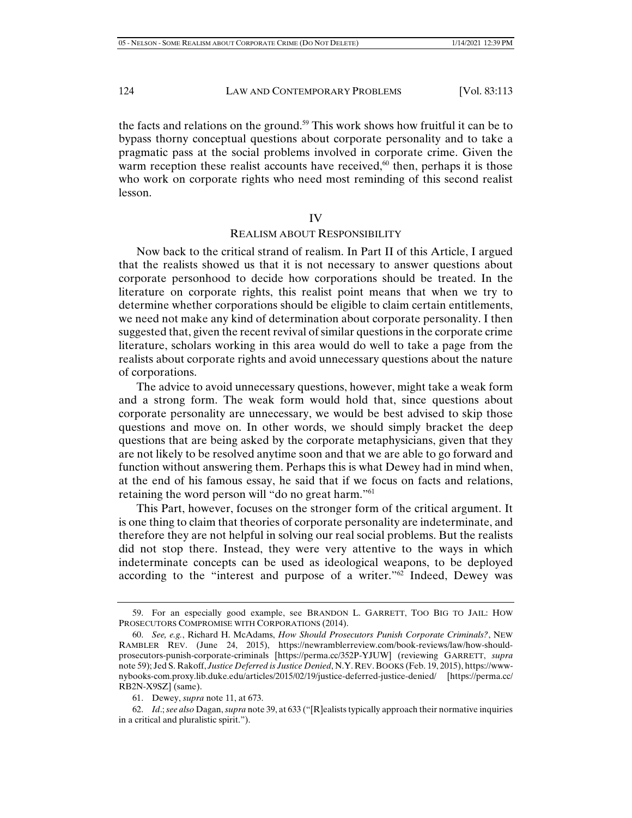the facts and relations on the ground.<sup>59</sup> This work shows how fruitful it can be to bypass thorny conceptual questions about corporate personality and to take a pragmatic pass at the social problems involved in corporate crime. Given the warm reception these realist accounts have received, $60$  then, perhaps it is those who work on corporate rights who need most reminding of this second realist lesson.

IV

# REALISM ABOUT RESPONSIBILITY

Now back to the critical strand of realism. In Part II of this Article, I argued that the realists showed us that it is not necessary to answer questions about corporate personhood to decide how corporations should be treated. In the literature on corporate rights, this realist point means that when we try to determine whether corporations should be eligible to claim certain entitlements, we need not make any kind of determination about corporate personality. I then suggested that, given the recent revival of similar questions in the corporate crime literature, scholars working in this area would do well to take a page from the realists about corporate rights and avoid unnecessary questions about the nature of corporations.

The advice to avoid unnecessary questions, however, might take a weak form and a strong form. The weak form would hold that, since questions about corporate personality are unnecessary, we would be best advised to skip those questions and move on. In other words, we should simply bracket the deep questions that are being asked by the corporate metaphysicians, given that they are not likely to be resolved anytime soon and that we are able to go forward and function without answering them. Perhaps this is what Dewey had in mind when, at the end of his famous essay, he said that if we focus on facts and relations, retaining the word person will "do no great harm."61

This Part, however, focuses on the stronger form of the critical argument. It is one thing to claim that theories of corporate personality are indeterminate, and therefore they are not helpful in solving our real social problems. But the realists did not stop there. Instead, they were very attentive to the ways in which indeterminate concepts can be used as ideological weapons, to be deployed according to the "interest and purpose of a writer."62 Indeed, Dewey was

 <sup>59.</sup> For an especially good example, see BRANDON L. GARRETT, TOO BIG TO JAIL: HOW PROSECUTORS COMPROMISE WITH CORPORATIONS (2014).

 <sup>60.</sup> *See, e.g.*, Richard H. McAdams, *How Should Prosecutors Punish Corporate Criminals?*, NEW RAMBLER REV. (June 24, 2015), https://newramblerreview.com/book-reviews/law/how-shouldprosecutors-punish-corporate-criminals [https://perma.cc/352P-YJUW] (reviewing GARRETT, *supra* note 59); Jed S. Rakoff, *Justice Deferred is Justice Denied*, N.Y. REV. BOOKS (Feb. 19, 2015), https://wwwnybooks-com.proxy.lib.duke.edu/articles/2015/02/19/justice-deferred-justice-denied/ [https://perma.cc/ RB2N-X9SZ] (same).

 <sup>61.</sup> Dewey, *supra* note 11, at 673.

 <sup>62.</sup> *Id*.; *see also* Dagan, *supra* note 39, at 633 ("[R]ealists typically approach their normative inquiries in a critical and pluralistic spirit.").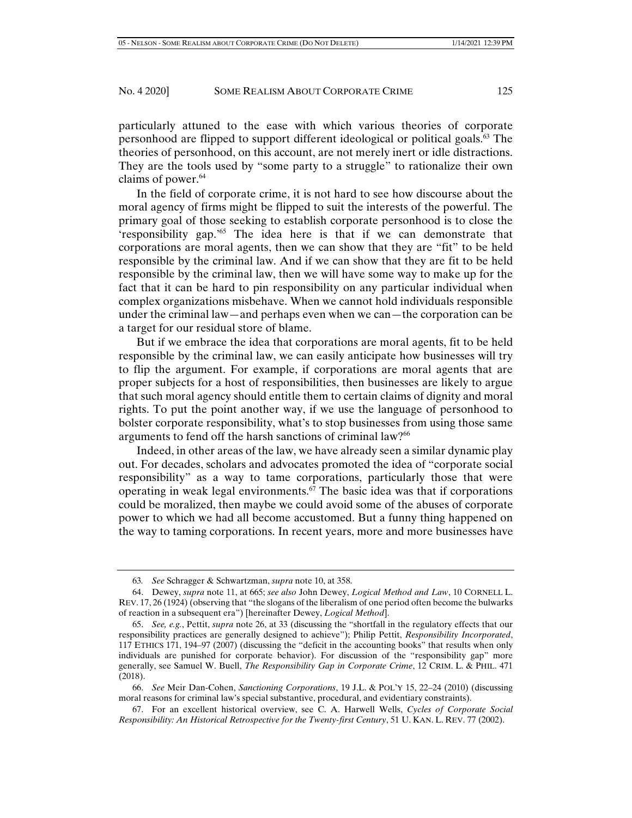particularly attuned to the ease with which various theories of corporate personhood are flipped to support different ideological or political goals.63 The theories of personhood, on this account, are not merely inert or idle distractions. They are the tools used by "some party to a struggle" to rationalize their own claims of power. $64$ 

In the field of corporate crime, it is not hard to see how discourse about the moral agency of firms might be flipped to suit the interests of the powerful. The primary goal of those seeking to establish corporate personhood is to close the 'responsibility gap.'65 The idea here is that if we can demonstrate that corporations are moral agents, then we can show that they are "fit" to be held responsible by the criminal law. And if we can show that they are fit to be held responsible by the criminal law, then we will have some way to make up for the fact that it can be hard to pin responsibility on any particular individual when complex organizations misbehave. When we cannot hold individuals responsible under the criminal law—and perhaps even when we can—the corporation can be a target for our residual store of blame.

But if we embrace the idea that corporations are moral agents, fit to be held responsible by the criminal law, we can easily anticipate how businesses will try to flip the argument. For example, if corporations are moral agents that are proper subjects for a host of responsibilities, then businesses are likely to argue that such moral agency should entitle them to certain claims of dignity and moral rights. To put the point another way, if we use the language of personhood to bolster corporate responsibility, what's to stop businesses from using those same arguments to fend off the harsh sanctions of criminal law?<sup>66</sup>

Indeed, in other areas of the law, we have already seen a similar dynamic play out. For decades, scholars and advocates promoted the idea of "corporate social responsibility" as a way to tame corporations, particularly those that were operating in weak legal environments. $67$  The basic idea was that if corporations could be moralized, then maybe we could avoid some of the abuses of corporate power to which we had all become accustomed. But a funny thing happened on the way to taming corporations. In recent years, more and more businesses have

<sup>63</sup>*. See* Schragger & Schwartzman, *supra* note 10, at 358.

 <sup>64.</sup> Dewey, *supra* note 11, at 665; *see also* John Dewey, *Logical Method and Law*, 10 CORNELL L. REV. 17, 26 (1924) (observing that "the slogans of the liberalism of one period often become the bulwarks of reaction in a subsequent era") [hereinafter Dewey, *Logical Method*].

 <sup>65.</sup> *See, e.g.*, Pettit, *supra* note 26, at 33 (discussing the "shortfall in the regulatory effects that our responsibility practices are generally designed to achieve"); Philip Pettit, *Responsibility Incorporated*, 117 ETHICS 171, 194–97 (2007) (discussing the "deficit in the accounting books" that results when only individuals are punished for corporate behavior). For discussion of the "responsibility gap" more generally, see Samuel W. Buell, *The Responsibility Gap in Corporate Crime*, 12 CRIM. L. & PHIL. 471 (2018).

 <sup>66.</sup> *See* Meir Dan-Cohen, *Sanctioning Corporations*, 19 J.L. & POL'Y 15, 22–24 (2010) (discussing moral reasons for criminal law's special substantive, procedural, and evidentiary constraints).

 <sup>67.</sup> For an excellent historical overview, see C. A. Harwell Wells, *Cycles of Corporate Social Responsibility: An Historical Retrospective for the Twenty-first Century*, 51 U. KAN. L. REV. 77 (2002).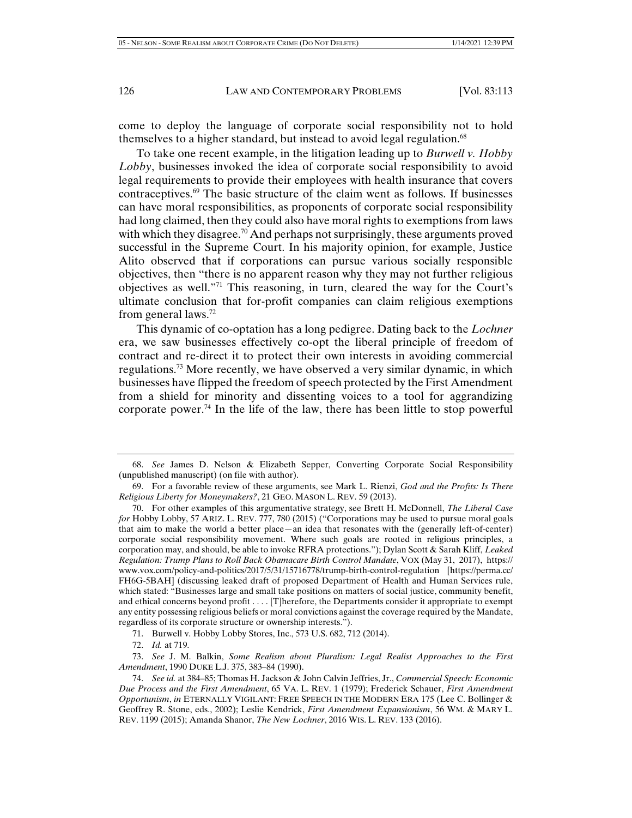come to deploy the language of corporate social responsibility not to hold themselves to a higher standard, but instead to avoid legal regulation.<sup>68</sup>

To take one recent example, in the litigation leading up to *Burwell v. Hobby Lobby*, businesses invoked the idea of corporate social responsibility to avoid legal requirements to provide their employees with health insurance that covers contraceptives.69 The basic structure of the claim went as follows. If businesses can have moral responsibilities, as proponents of corporate social responsibility had long claimed, then they could also have moral rights to exemptions from laws with which they disagree.<sup>70</sup> And perhaps not surprisingly, these arguments proved successful in the Supreme Court. In his majority opinion, for example, Justice Alito observed that if corporations can pursue various socially responsible objectives, then "there is no apparent reason why they may not further religious objectives as well."71 This reasoning, in turn, cleared the way for the Court's ultimate conclusion that for-profit companies can claim religious exemptions from general laws.72

This dynamic of co-optation has a long pedigree. Dating back to the *Lochner*  era, we saw businesses effectively co-opt the liberal principle of freedom of contract and re-direct it to protect their own interests in avoiding commercial regulations.73 More recently, we have observed a very similar dynamic, in which businesses have flipped the freedom of speech protected by the First Amendment from a shield for minority and dissenting voices to a tool for aggrandizing corporate power.<sup>74</sup> In the life of the law, there has been little to stop powerful

72. *Id.* at 719.

 73. *See* J. M. Balkin, *Some Realism about Pluralism: Legal Realist Approaches to the First Amendment*, 1990 DUKE L.J. 375, 383–84 (1990).

 <sup>68.</sup> *See* James D. Nelson & Elizabeth Sepper, Converting Corporate Social Responsibility (unpublished manuscript) (on file with author).

 <sup>69.</sup> For a favorable review of these arguments, see Mark L. Rienzi, *God and the Profits: Is There Religious Liberty for Moneymakers?*, 21 GEO. MASON L. REV. 59 (2013).

 <sup>70.</sup> For other examples of this argumentative strategy, see Brett H. McDonnell, *The Liberal Case for* Hobby Lobby, 57 ARIZ. L. REV. 777, 780 (2015) ("Corporations may be used to pursue moral goals that aim to make the world a better place—an idea that resonates with the (generally left-of-center) corporate social responsibility movement. Where such goals are rooted in religious principles, a corporation may, and should, be able to invoke RFRA protections."); Dylan Scott & Sarah Kliff, *Leaked Regulation: Trump Plans to Roll Back Obamacare Birth Control Mandate*, VOX (May 31, 2017), https:// www.vox.com/policy-and-politics/2017/5/31/15716778/trump-birth-control-regulation [https://perma.cc/ FH6G-5BAH] (discussing leaked draft of proposed Department of Health and Human Services rule, which stated: "Businesses large and small take positions on matters of social justice, community benefit, and ethical concerns beyond profit . . . . [T]herefore, the Departments consider it appropriate to exempt any entity possessing religious beliefs or moral convictions against the coverage required by the Mandate, regardless of its corporate structure or ownership interests.").

 <sup>71.</sup> Burwell v. Hobby Lobby Stores, Inc., 573 U.S. 682, 712 (2014).

 <sup>74.</sup> *See id.* at 384–85; Thomas H. Jackson & John Calvin Jeffries, Jr., *Commercial Speech: Economic Due Process and the First Amendment*, 65 VA. L. REV. 1 (1979); Frederick Schauer, *First Amendment Opportunism*, *in* ETERNALLY VIGILANT: FREE SPEECH IN THE MODERN ERA 175 (Lee C. Bollinger & Geoffrey R. Stone, eds., 2002); Leslie Kendrick, *First Amendment Expansionism*, 56 WM. & MARY L. REV. 1199 (2015); Amanda Shanor, *The New Lochner*, 2016 WIS. L. REV. 133 (2016).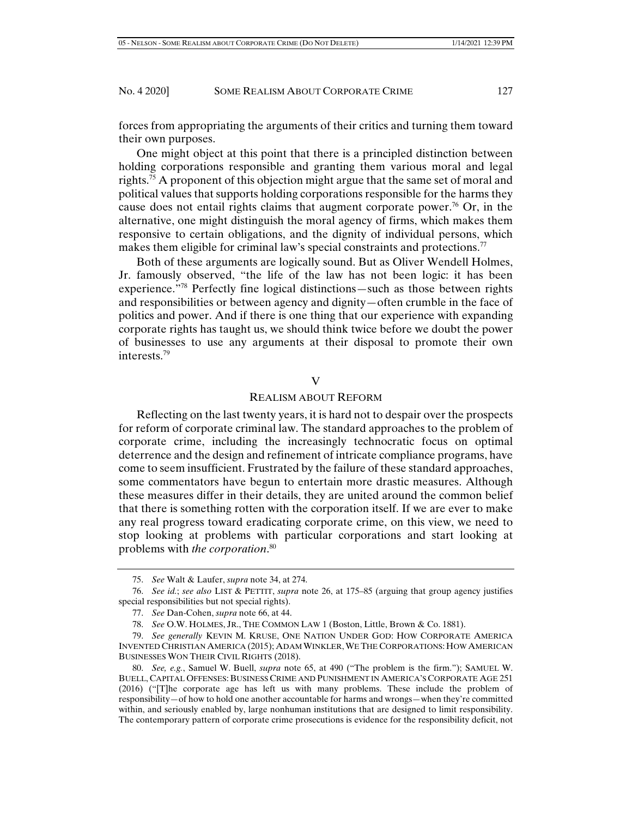forces from appropriating the arguments of their critics and turning them toward their own purposes.

One might object at this point that there is a principled distinction between holding corporations responsible and granting them various moral and legal rights.<sup>75</sup> A proponent of this objection might argue that the same set of moral and political values that supports holding corporations responsible for the harms they cause does not entail rights claims that augment corporate power.<sup>76</sup> Or, in the alternative, one might distinguish the moral agency of firms, which makes them responsive to certain obligations, and the dignity of individual persons, which makes them eligible for criminal law's special constraints and protections.<sup>77</sup>

Both of these arguments are logically sound. But as Oliver Wendell Holmes, Jr. famously observed, "the life of the law has not been logic: it has been experience."78 Perfectly fine logical distinctions—such as those between rights and responsibilities or between agency and dignity—often crumble in the face of politics and power. And if there is one thing that our experience with expanding corporate rights has taught us, we should think twice before we doubt the power of businesses to use any arguments at their disposal to promote their own interests.79

## V

#### REALISM ABOUT REFORM

Reflecting on the last twenty years, it is hard not to despair over the prospects for reform of corporate criminal law. The standard approaches to the problem of corporate crime, including the increasingly technocratic focus on optimal deterrence and the design and refinement of intricate compliance programs, have come to seem insufficient. Frustrated by the failure of these standard approaches, some commentators have begun to entertain more drastic measures. Although these measures differ in their details, they are united around the common belief that there is something rotten with the corporation itself. If we are ever to make any real progress toward eradicating corporate crime, on this view, we need to stop looking at problems with particular corporations and start looking at problems with *the corporation*. 80

 <sup>75.</sup> *See* Walt & Laufer, *supra* note 34, at 274.

 <sup>76.</sup> *See id.*; *see also* LIST & PETTIT, *supra* note 26, at 175–85 (arguing that group agency justifies special responsibilities but not special rights).

 <sup>77.</sup> *See* Dan-Cohen, *supra* note 66, at 44.

 <sup>78.</sup> *See* O.W. HOLMES, JR., THE COMMON LAW 1 (Boston, Little, Brown & Co. 1881).

 <sup>79.</sup> *See generally* KEVIN M. KRUSE, ONE NATION UNDER GOD: HOW CORPORATE AMERICA INVENTED CHRISTIAN AMERICA (2015); ADAM WINKLER,WE THE CORPORATIONS: HOW AMERICAN BUSINESSES WON THEIR CIVIL RIGHTS (2018).

 <sup>80.</sup> *See, e.g.*, Samuel W. Buell, *supra* note 65, at 490 ("The problem is the firm."); SAMUEL W. BUELL, CAPITAL OFFENSES: BUSINESS CRIME AND PUNISHMENT IN AMERICA'S CORPORATE AGE 251 (2016) ("[T]he corporate age has left us with many problems. These include the problem of responsibility—of how to hold one another accountable for harms and wrongs—when they're committed within, and seriously enabled by, large nonhuman institutions that are designed to limit responsibility. The contemporary pattern of corporate crime prosecutions is evidence for the responsibility deficit, not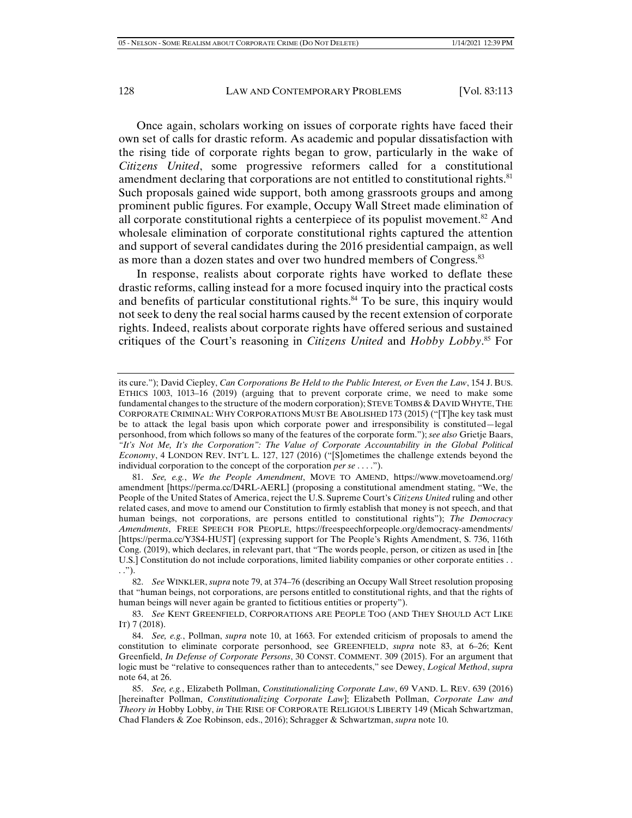Once again, scholars working on issues of corporate rights have faced their own set of calls for drastic reform. As academic and popular dissatisfaction with the rising tide of corporate rights began to grow, particularly in the wake of *Citizens United*, some progressive reformers called for a constitutional amendment declaring that corporations are not entitled to constitutional rights.<sup>81</sup> Such proposals gained wide support, both among grassroots groups and among prominent public figures. For example, Occupy Wall Street made elimination of all corporate constitutional rights a centerpiece of its populist movement.<sup>82</sup> And wholesale elimination of corporate constitutional rights captured the attention and support of several candidates during the 2016 presidential campaign, as well as more than a dozen states and over two hundred members of Congress.<sup>83</sup>

In response, realists about corporate rights have worked to deflate these drastic reforms, calling instead for a more focused inquiry into the practical costs and benefits of particular constitutional rights.<sup>84</sup> To be sure, this inquiry would not seek to deny the real social harms caused by the recent extension of corporate rights. Indeed, realists about corporate rights have offered serious and sustained critiques of the Court's reasoning in *Citizens United* and *Hobby Lobby*. 85 For

its cure."); David Ciepley, *Can Corporations Be Held to the Public Interest, or Even the Law*, 154 J. BUS. ETHICS 1003, 1013–16 (2019) (arguing that to prevent corporate crime, we need to make some fundamental changes to the structure of the modern corporation); STEVE TOMBS & DAVID WHYTE, THE CORPORATE CRIMINAL: WHY CORPORATIONS MUST BE ABOLISHED 173 (2015) ("[T]he key task must be to attack the legal basis upon which corporate power and irresponsibility is constituted—legal personhood, from which follows so many of the features of the corporate form."); *see also* Grietje Baars, *"It's Not Me, It's the Corporation": The Value of Corporate Accountability in the Global Political Economy*, 4 LONDON REV. INT'L L. 127, 127 (2016) ("[S]ometimes the challenge extends beyond the individual corporation to the concept of the corporation *per se* . . . .").

 <sup>81.</sup> *See, e.g.*, *We the People Amendment*, MOVE TO AMEND, https://www.movetoamend.org/ amendment [https://perma.cc/D4RL-AERL] (proposing a constitutional amendment stating, "We, the People of the United States of America, reject the U.S. Supreme Court's *Citizens United* ruling and other related cases, and move to amend our Constitution to firmly establish that money is not speech, and that human beings, not corporations, are persons entitled to constitutional rights"); *The Democracy Amendments*, FREE SPEECH FOR PEOPLE, https://freespeechforpeople.org/democracy-amendments/ [https://perma.cc/Y3S4-HU5T] (expressing support for The People's Rights Amendment, S. 736, 116th Cong. (2019), which declares, in relevant part, that "The words people, person, or citizen as used in [the U.S.] Constitution do not include corporations, limited liability companies or other corporate entities . . . .").

 <sup>82.</sup> *See* WINKLER, *supra* note 79, at 374–76 (describing an Occupy Wall Street resolution proposing that "human beings, not corporations, are persons entitled to constitutional rights, and that the rights of human beings will never again be granted to fictitious entities or property").

 <sup>83.</sup> *See* KENT GREENFIELD, CORPORATIONS ARE PEOPLE TOO (AND THEY SHOULD ACT LIKE IT) 7 (2018).

 <sup>84.</sup> *See, e.g.*, Pollman, *supra* note 10, at 1663. For extended criticism of proposals to amend the constitution to eliminate corporate personhood, see GREENFIELD, *supra* note 83, at 6–26; Kent Greenfield, *In Defense of Corporate Persons*, 30 CONST. COMMENT. 309 (2015). For an argument that logic must be "relative to consequences rather than to antecedents," see Dewey, *Logical Method*, *supra*  note 64, at 26.

 <sup>85.</sup> *See, e.g.*, Elizabeth Pollman, *Constitutionalizing Corporate Law*, 69 VAND. L. REV. 639 (2016) [hereinafter Pollman, *Constitutionalizing Corporate Law*]; Elizabeth Pollman, *Corporate Law and Theory in* Hobby Lobby, *in* THE RISE OF CORPORATE RELIGIOUS LIBERTY 149 (Micah Schwartzman, Chad Flanders & Zoe Robinson, eds., 2016); Schragger & Schwartzman, *supra* note 10.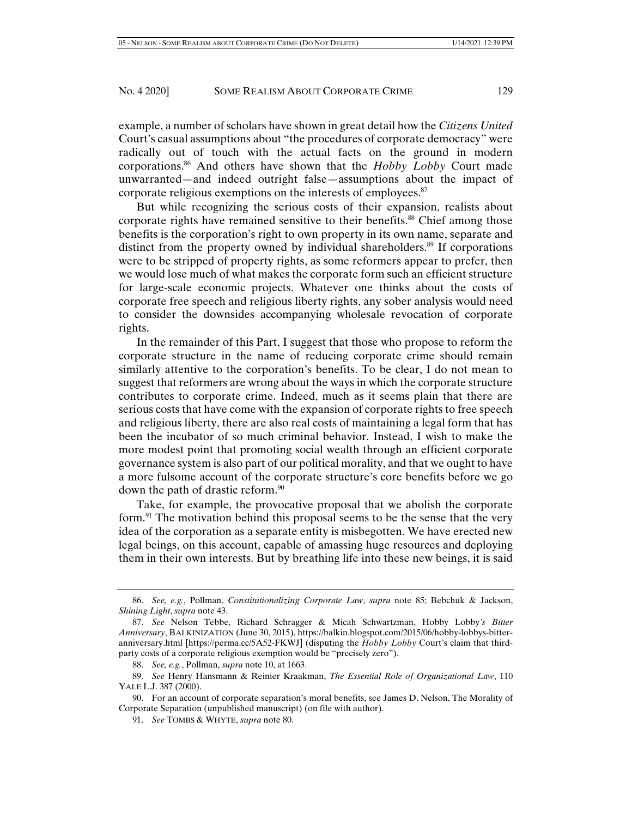example, a number of scholars have shown in great detail how the *Citizens United* Court's casual assumptions about "the procedures of corporate democracy" were radically out of touch with the actual facts on the ground in modern corporations.86 And others have shown that the *Hobby Lobby* Court made unwarranted—and indeed outright false—assumptions about the impact of corporate religious exemptions on the interests of employees.<sup>87</sup>

But while recognizing the serious costs of their expansion, realists about corporate rights have remained sensitive to their benefits.<sup>88</sup> Chief among those benefits is the corporation's right to own property in its own name, separate and distinct from the property owned by individual shareholders.89 If corporations were to be stripped of property rights, as some reformers appear to prefer, then we would lose much of what makes the corporate form such an efficient structure for large-scale economic projects. Whatever one thinks about the costs of corporate free speech and religious liberty rights, any sober analysis would need to consider the downsides accompanying wholesale revocation of corporate rights.

In the remainder of this Part, I suggest that those who propose to reform the corporate structure in the name of reducing corporate crime should remain similarly attentive to the corporation's benefits. To be clear, I do not mean to suggest that reformers are wrong about the ways in which the corporate structure contributes to corporate crime. Indeed, much as it seems plain that there are serious costs that have come with the expansion of corporate rights to free speech and religious liberty, there are also real costs of maintaining a legal form that has been the incubator of so much criminal behavior. Instead, I wish to make the more modest point that promoting social wealth through an efficient corporate governance system is also part of our political morality, and that we ought to have a more fulsome account of the corporate structure's core benefits before we go down the path of drastic reform.<sup>90</sup>

Take, for example, the provocative proposal that we abolish the corporate form.<sup>91</sup> The motivation behind this proposal seems to be the sense that the very idea of the corporation as a separate entity is misbegotten. We have erected new legal beings, on this account, capable of amassing huge resources and deploying them in their own interests. But by breathing life into these new beings, it is said

 <sup>86.</sup> *See, e.g.*, Pollman, *Constitutionalizing Corporate Law*, *supra* note 85; Bebchuk & Jackson, *Shining Light*, *supra* note 43.

 <sup>87.</sup> *See* Nelson Tebbe, Richard Schragger & Micah Schwartzman, Hobby Lobby*'s Bitter Anniversary*, BALKINIZATION (June 30, 2015), https://balkin.blogspot.com/2015/06/hobby-lobbys-bitteranniversary.html [https://perma.cc/5A52-FKWJ] (disputing the *Hobby Lobby* Court's claim that thirdparty costs of a corporate religious exemption would be "precisely zero").

 <sup>88.</sup> *See, e.g.*, Pollman, *supra* note 10, at 1663.

 <sup>89.</sup> *See* Henry Hansmann & Reinier Kraakman, *The Essential Role of Organizational Law*, 110 YALE L.J. 387 (2000).

 <sup>90.</sup> For an account of corporate separation's moral benefits, see James D. Nelson, The Morality of Corporate Separation (unpublished manuscript) (on file with author).

 <sup>91.</sup> *See* TOMBS & WHYTE, *supra* note 80.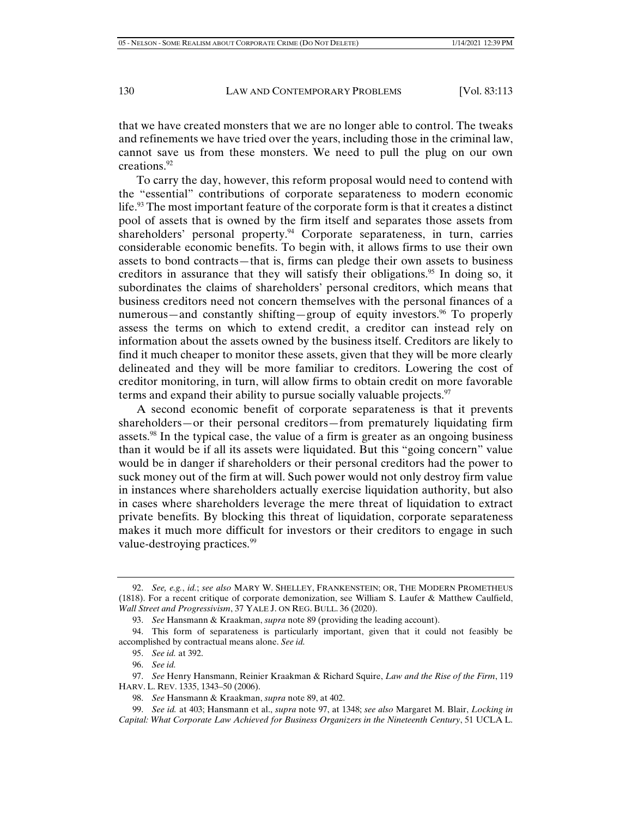that we have created monsters that we are no longer able to control. The tweaks and refinements we have tried over the years, including those in the criminal law, cannot save us from these monsters. We need to pull the plug on our own creations.92

To carry the day, however, this reform proposal would need to contend with the "essential" contributions of corporate separateness to modern economic life.93 The most important feature of the corporate form is that it creates a distinct pool of assets that is owned by the firm itself and separates those assets from shareholders' personal property.<sup>94</sup> Corporate separateness, in turn, carries considerable economic benefits. To begin with, it allows firms to use their own assets to bond contracts—that is, firms can pledge their own assets to business creditors in assurance that they will satisfy their obligations.<sup>95</sup> In doing so, it subordinates the claims of shareholders' personal creditors, which means that business creditors need not concern themselves with the personal finances of a numerous—and constantly shifting—group of equity investors.<sup>96</sup> To properly assess the terms on which to extend credit, a creditor can instead rely on information about the assets owned by the business itself. Creditors are likely to find it much cheaper to monitor these assets, given that they will be more clearly delineated and they will be more familiar to creditors. Lowering the cost of creditor monitoring, in turn, will allow firms to obtain credit on more favorable terms and expand their ability to pursue socially valuable projects. $\frac{97}{2}$ 

A second economic benefit of corporate separateness is that it prevents shareholders—or their personal creditors—from prematurely liquidating firm assets.98 In the typical case, the value of a firm is greater as an ongoing business than it would be if all its assets were liquidated. But this "going concern" value would be in danger if shareholders or their personal creditors had the power to suck money out of the firm at will. Such power would not only destroy firm value in instances where shareholders actually exercise liquidation authority, but also in cases where shareholders leverage the mere threat of liquidation to extract private benefits. By blocking this threat of liquidation, corporate separateness makes it much more difficult for investors or their creditors to engage in such value-destroying practices.<sup>99</sup>

 <sup>92.</sup> *See, e.g.*, *id.*; *see also* MARY W. SHELLEY, FRANKENSTEIN; OR, THE MODERN PROMETHEUS (1818). For a recent critique of corporate demonization, see William S. Laufer & Matthew Caulfield, *Wall Street and Progressivism*, 37 YALE J. ON REG. BULL. 36 (2020).

 <sup>93.</sup> *See* Hansmann & Kraakman, *supra* note 89 (providing the leading account).

 <sup>94.</sup> This form of separateness is particularly important, given that it could not feasibly be accomplished by contractual means alone. *See id.* 

 <sup>95.</sup> *See id.* at 392.

 <sup>96.</sup> *See id.*

 <sup>97.</sup> *See* Henry Hansmann, Reinier Kraakman & Richard Squire, *Law and the Rise of the Firm*, 119 HARV. L. REV. 1335, 1343–50 (2006).

 <sup>98.</sup> *See* Hansmann & Kraakman, *supra* note 89, at 402.

 <sup>99.</sup> *See id.* at 403; Hansmann et al., *supra* note 97, at 1348; *see also* Margaret M. Blair, *Locking in Capital: What Corporate Law Achieved for Business Organizers in the Nineteenth Century*, 51 UCLA L.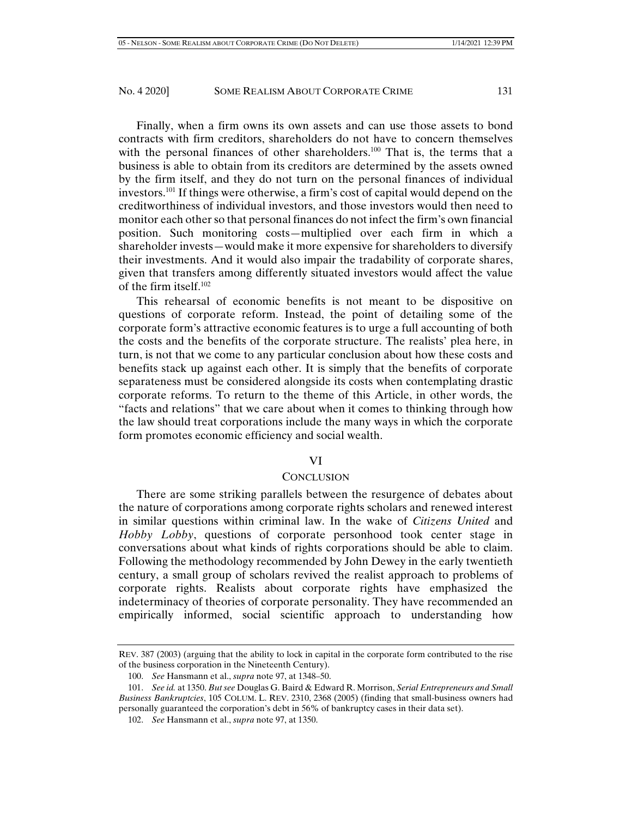Finally, when a firm owns its own assets and can use those assets to bond contracts with firm creditors, shareholders do not have to concern themselves with the personal finances of other shareholders.<sup>100</sup> That is, the terms that a business is able to obtain from its creditors are determined by the assets owned by the firm itself, and they do not turn on the personal finances of individual investors.101 If things were otherwise, a firm's cost of capital would depend on the creditworthiness of individual investors, and those investors would then need to monitor each other so that personal finances do not infect the firm's own financial position. Such monitoring costs—multiplied over each firm in which a shareholder invests—would make it more expensive for shareholders to diversify their investments. And it would also impair the tradability of corporate shares, given that transfers among differently situated investors would affect the value of the firm itself.<sup>102</sup>

This rehearsal of economic benefits is not meant to be dispositive on questions of corporate reform. Instead, the point of detailing some of the corporate form's attractive economic features is to urge a full accounting of both the costs and the benefits of the corporate structure. The realists' plea here, in turn, is not that we come to any particular conclusion about how these costs and benefits stack up against each other. It is simply that the benefits of corporate separateness must be considered alongside its costs when contemplating drastic corporate reforms. To return to the theme of this Article, in other words, the "facts and relations" that we care about when it comes to thinking through how the law should treat corporations include the many ways in which the corporate form promotes economic efficiency and social wealth.

## VI

#### **CONCLUSION**

There are some striking parallels between the resurgence of debates about the nature of corporations among corporate rights scholars and renewed interest in similar questions within criminal law. In the wake of *Citizens United* and *Hobby Lobby*, questions of corporate personhood took center stage in conversations about what kinds of rights corporations should be able to claim. Following the methodology recommended by John Dewey in the early twentieth century, a small group of scholars revived the realist approach to problems of corporate rights. Realists about corporate rights have emphasized the indeterminacy of theories of corporate personality. They have recommended an empirically informed, social scientific approach to understanding how

REV. 387 (2003) (arguing that the ability to lock in capital in the corporate form contributed to the rise of the business corporation in the Nineteenth Century).

 <sup>100.</sup> *See* Hansmann et al., *supra* note 97, at 1348–50.

 <sup>101.</sup> *See id.* at 1350. *But see* Douglas G. Baird & Edward R. Morrison, *Serial Entrepreneurs and Small Business Bankruptcies*, 105 COLUM. L. REV. 2310, 2368 (2005) (finding that small-business owners had personally guaranteed the corporation's debt in 56% of bankruptcy cases in their data set).

 <sup>102.</sup> *See* Hansmann et al., *supra* note 97, at 1350.